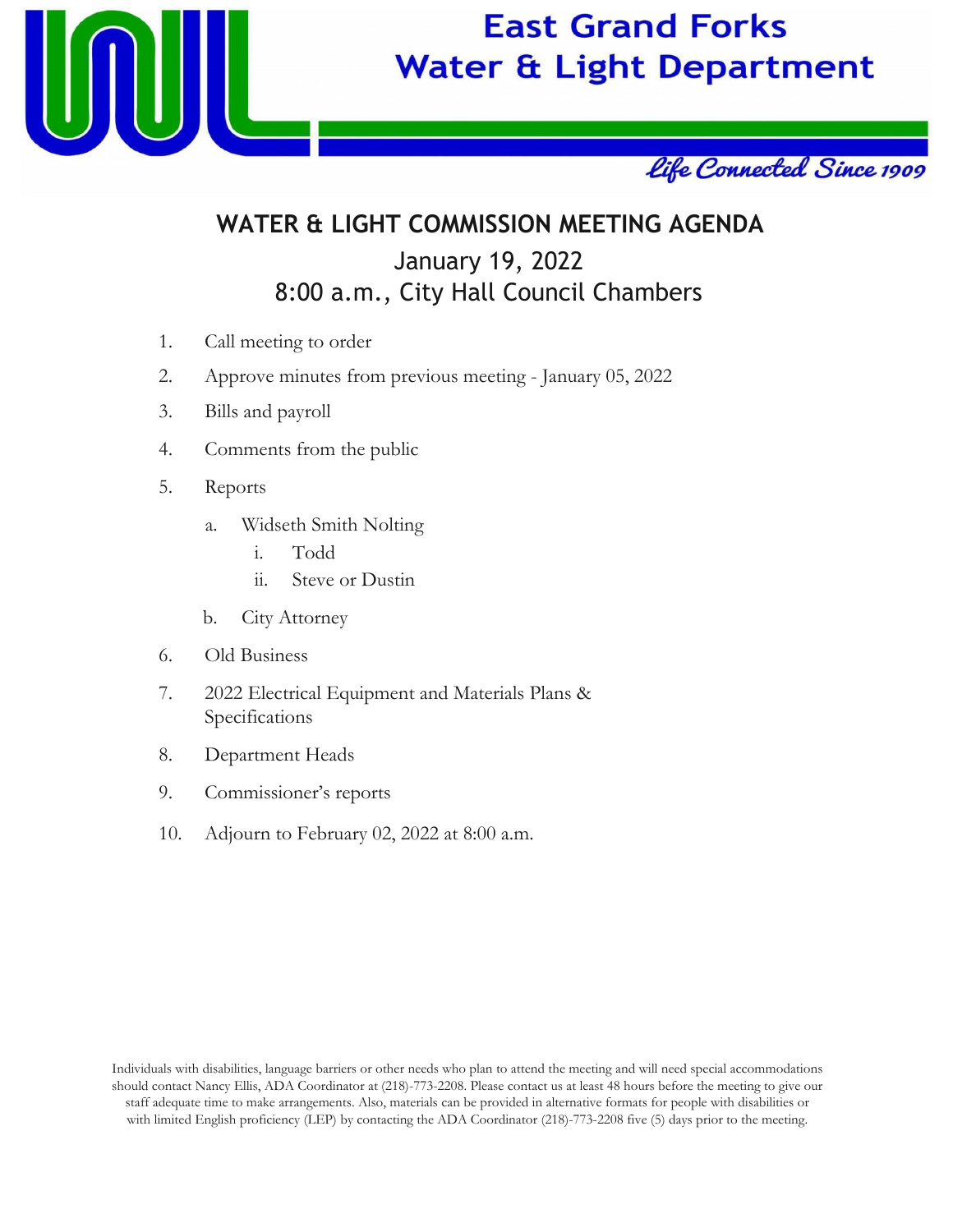

# **East Grand Forks Water & Light Department**



## **WATER & LIGHT COMMISSION MEETING AGENDA** January 19, 2022 8:00 a.m., City Hall Council Chambers

- 1. Call meeting to order
- 2. Approve minutes from previous meeting January 05, 2022
- 3. Bills and payroll
- 4. Comments from the public
- 5. Reports
	- a. Widseth Smith Nolting
		- i. Todd
		- ii. Steve or Dustin
	- b. City Attorney
- 6. Old Business
- 7. 2022 Electrical Equipment and Materials Plans & Specifications
- 8. Department Heads
- 9. Commissioner's reports
- 10. Adjourn to February 02, 2022 at 8:00 a.m.

Individuals with disabilities, language barriers or other needs who plan to attend the meeting and will need special accommodations should contact Nancy Ellis, ADA Coordinator at (218)-773-2208. Please contact us at least 48 hours before the meeting to give our staff adequate time to make arrangements. Also, materials can be provided in alternative formats for people with disabilities or with limited English proficiency (LEP) by contacting the ADA Coordinator (218)-773-2208 five (5) days prior to the meeting.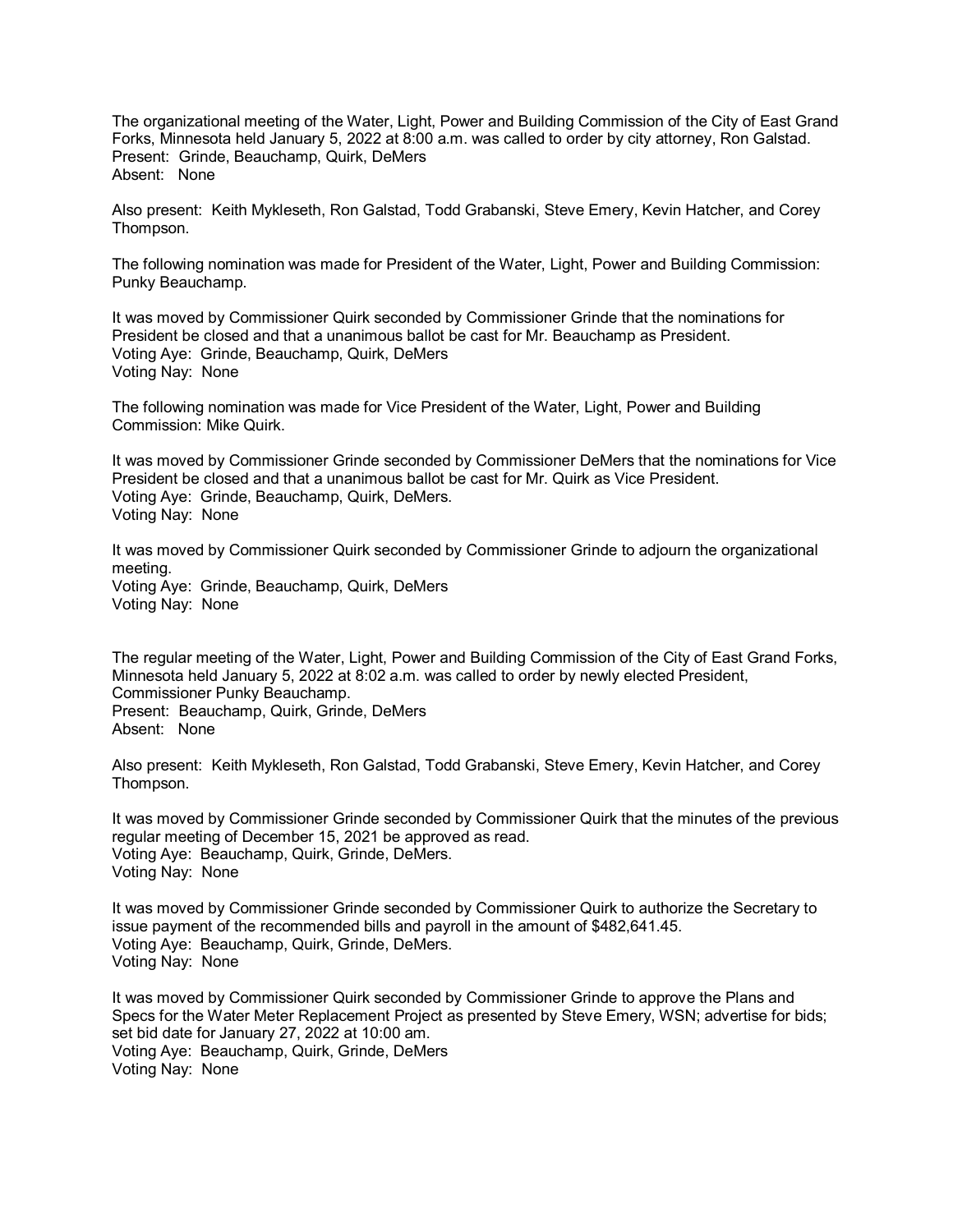The organizational meeting of the Water, Light, Power and Building Commission of the City of East Grand Forks, Minnesota held January 5, 2022 at 8:00 a.m. was called to order by city attorney, Ron Galstad. Present: Grinde, Beauchamp, Quirk, DeMers Absent: None

Also present: Keith Mykleseth, Ron Galstad, Todd Grabanski, Steve Emery, Kevin Hatcher, and Corey Thompson.

The following nomination was made for President of the Water, Light, Power and Building Commission: Punky Beauchamp.

It was moved by Commissioner Quirk seconded by Commissioner Grinde that the nominations for President be closed and that a unanimous ballot be cast for Mr. Beauchamp as President. Voting Aye: Grinde, Beauchamp, Quirk, DeMers Voting Nay: None

The following nomination was made for Vice President of the Water, Light, Power and Building Commission: Mike Quirk.

It was moved by Commissioner Grinde seconded by Commissioner DeMers that the nominations for Vice President be closed and that a unanimous ballot be cast for Mr. Quirk as Vice President. Voting Aye: Grinde, Beauchamp, Quirk, DeMers. Voting Nay: None

It was moved by Commissioner Quirk seconded by Commissioner Grinde to adjourn the organizational meeting. Voting Aye: Grinde, Beauchamp, Quirk, DeMers Voting Nay: None

The regular meeting of the Water, Light, Power and Building Commission of the City of East Grand Forks, Minnesota held January 5, 2022 at 8:02 a.m. was called to order by newly elected President, Commissioner Punky Beauchamp. Present: Beauchamp, Quirk, Grinde, DeMers Absent: None

Also present: Keith Mykleseth, Ron Galstad, Todd Grabanski, Steve Emery, Kevin Hatcher, and Corey Thompson.

It was moved by Commissioner Grinde seconded by Commissioner Quirk that the minutes of the previous regular meeting of December 15, 2021 be approved as read. Voting Aye: Beauchamp, Quirk, Grinde, DeMers. Voting Nay: None

It was moved by Commissioner Grinde seconded by Commissioner Quirk to authorize the Secretary to issue payment of the recommended bills and payroll in the amount of \$482,641.45. Voting Aye: Beauchamp, Quirk, Grinde, DeMers. Voting Nay: None

It was moved by Commissioner Quirk seconded by Commissioner Grinde to approve the Plans and Specs for the Water Meter Replacement Project as presented by Steve Emery, WSN; advertise for bids; set bid date for January 27, 2022 at 10:00 am. Voting Aye: Beauchamp, Quirk, Grinde, DeMers Voting Nay: None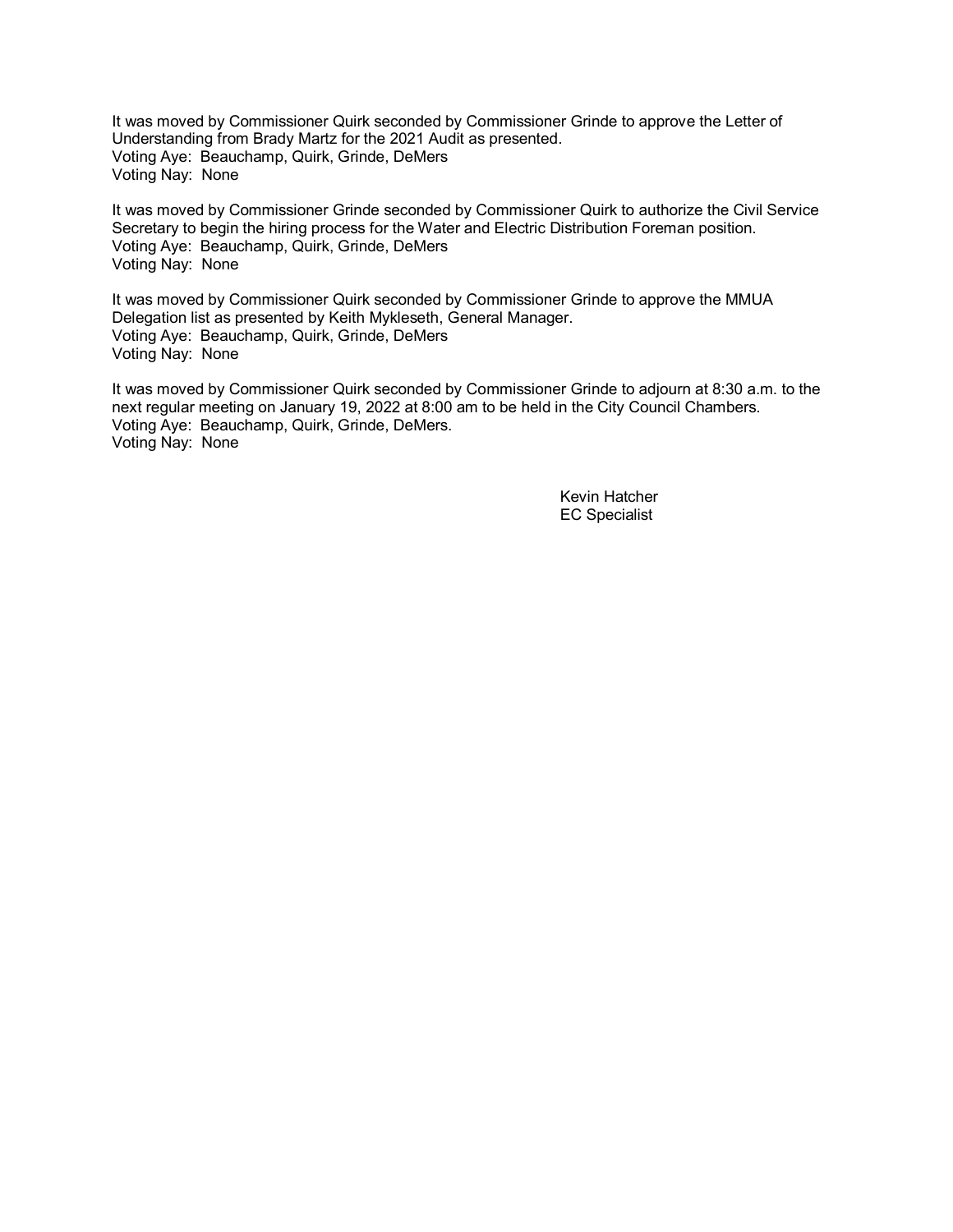It was moved by Commissioner Quirk seconded by Commissioner Grinde to approve the Letter of Understanding from Brady Martz for the 2021 Audit as presented. Voting Aye: Beauchamp, Quirk, Grinde, DeMers Voting Nay: None

It was moved by Commissioner Grinde seconded by Commissioner Quirk to authorize the Civil Service Secretary to begin the hiring process for the Water and Electric Distribution Foreman position. Voting Aye: Beauchamp, Quirk, Grinde, DeMers Voting Nay: None

It was moved by Commissioner Quirk seconded by Commissioner Grinde to approve the MMUA Delegation list as presented by Keith Mykleseth, General Manager. Voting Aye: Beauchamp, Quirk, Grinde, DeMers Voting Nay: None

It was moved by Commissioner Quirk seconded by Commissioner Grinde to adjourn at 8:30 a.m. to the next regular meeting on January 19, 2022 at 8:00 am to be held in the City Council Chambers. Voting Aye: Beauchamp, Quirk, Grinde, DeMers. Voting Nay: None

> Kevin Hatcher EC Specialist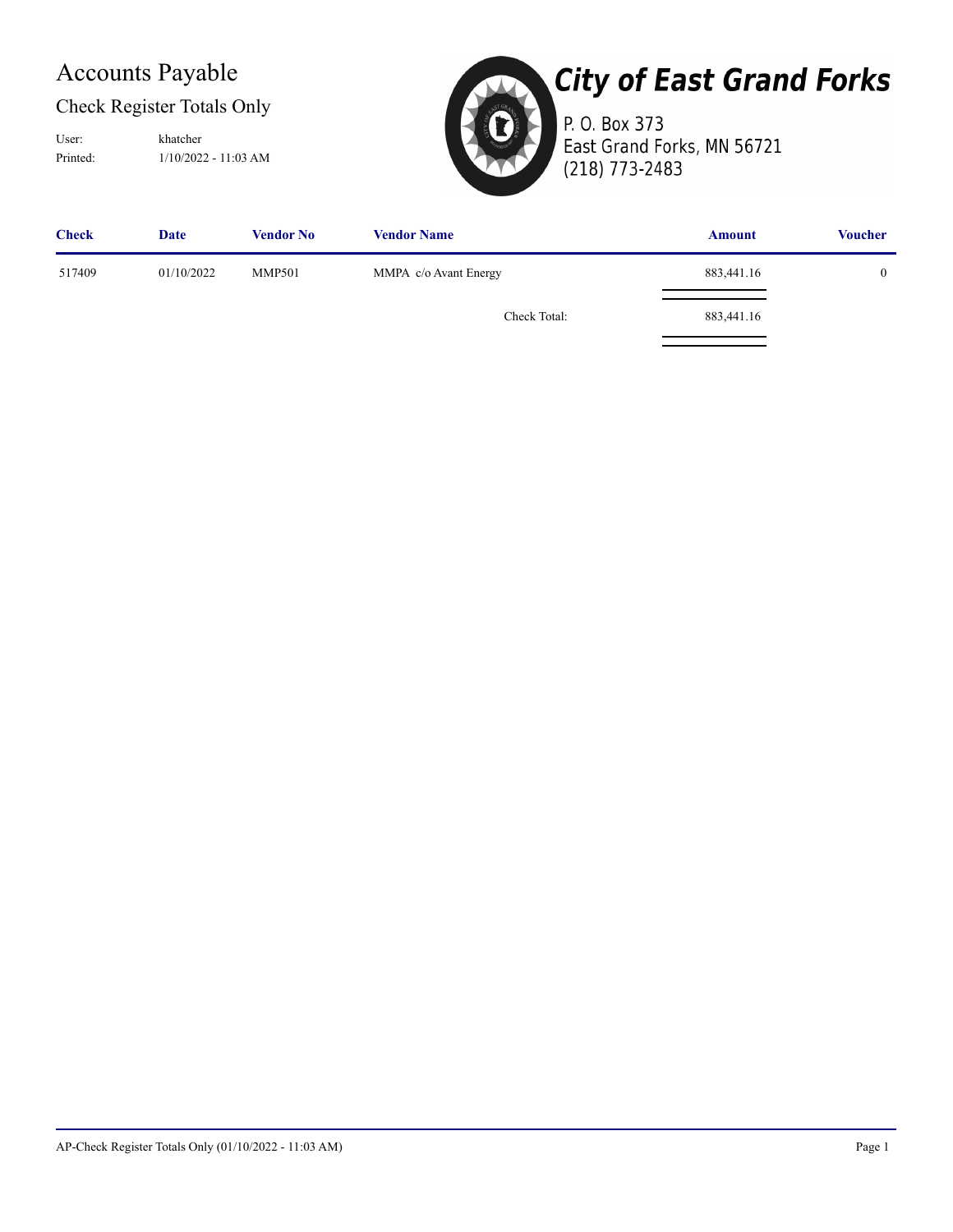## Accounts Payable

#### Check Register Totals Only

Printed: 1/10/2022 - 11:03 AM User: khatcher



# **City of East Grand Forks**

P. O. Box 373 East Grand Forks, MN 56721 (218) 773-2483

| <b>Check</b> | Date       | <b>Vendor No</b> | <b>Vendor Name</b>    | <b>Amount</b> | <b>Voucher</b> |
|--------------|------------|------------------|-----------------------|---------------|----------------|
| 517409       | 01/10/2022 | <b>MMP501</b>    | MMPA c/o Avant Energy | 883,441.16    |                |
|              |            |                  | Check Total:          | 883,441.16    |                |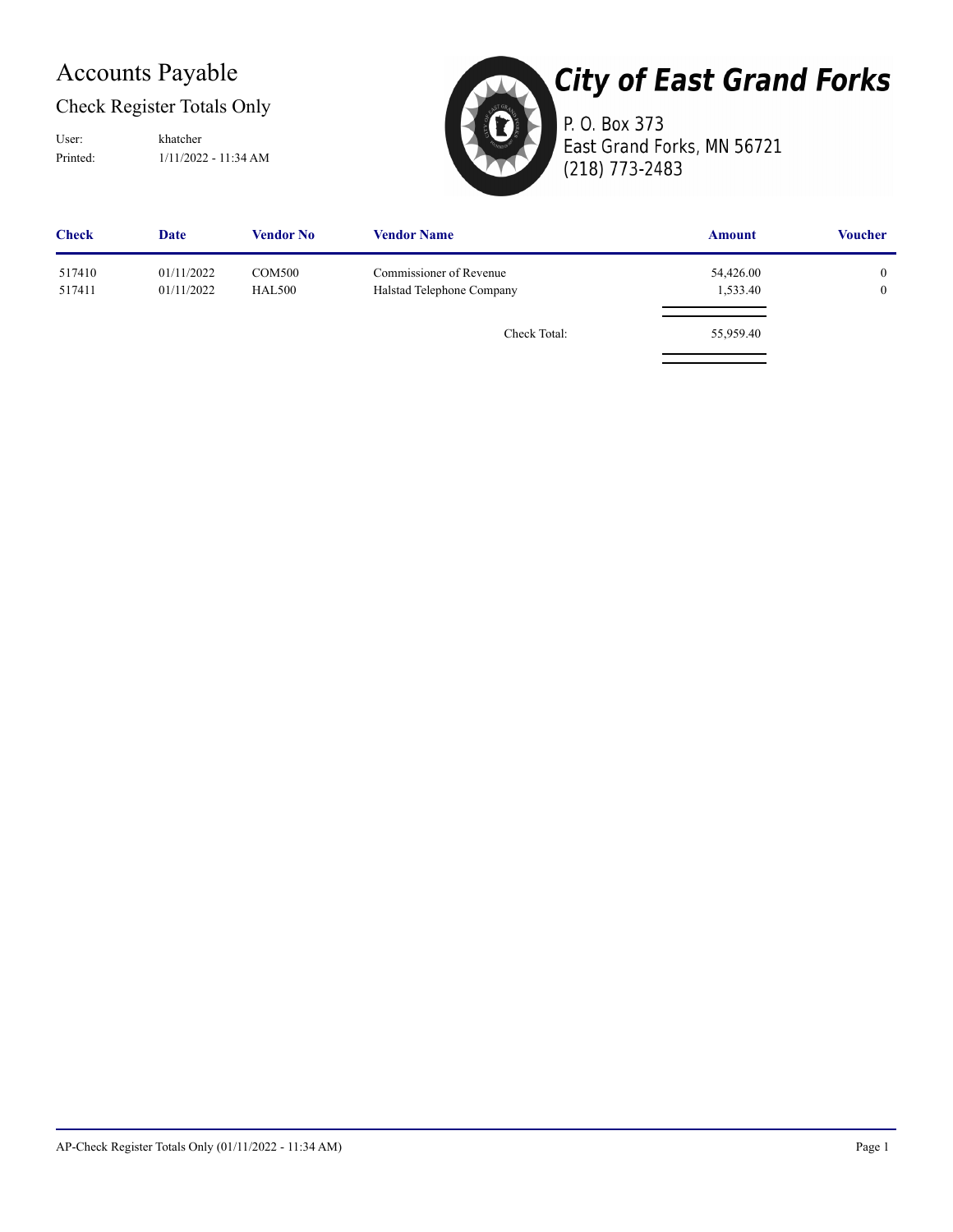## Accounts Payable

#### Check Register Totals Only

Printed: 1/11/2022 - 11:34 AM User: khatcher



# **City of East Grand Forks**

P. O. Box 373 East Grand Forks, MN 56721 (218) 773-2483

| <b>Check</b>     | <b>Date</b>              | <b>Vendor No</b>               | <b>Vendor Name</b>                                   | <b>Amount</b>         | <b>Voucher</b>               |
|------------------|--------------------------|--------------------------------|------------------------------------------------------|-----------------------|------------------------------|
| 517410<br>517411 | 01/11/2022<br>01/11/2022 | <b>COM500</b><br><b>HAL500</b> | Commissioner of Revenue<br>Halstad Telephone Company | 54,426.00<br>1,533.40 | $\mathbf{0}$<br>$\mathbf{0}$ |
|                  |                          |                                | Check Total:                                         | 55,959.40             |                              |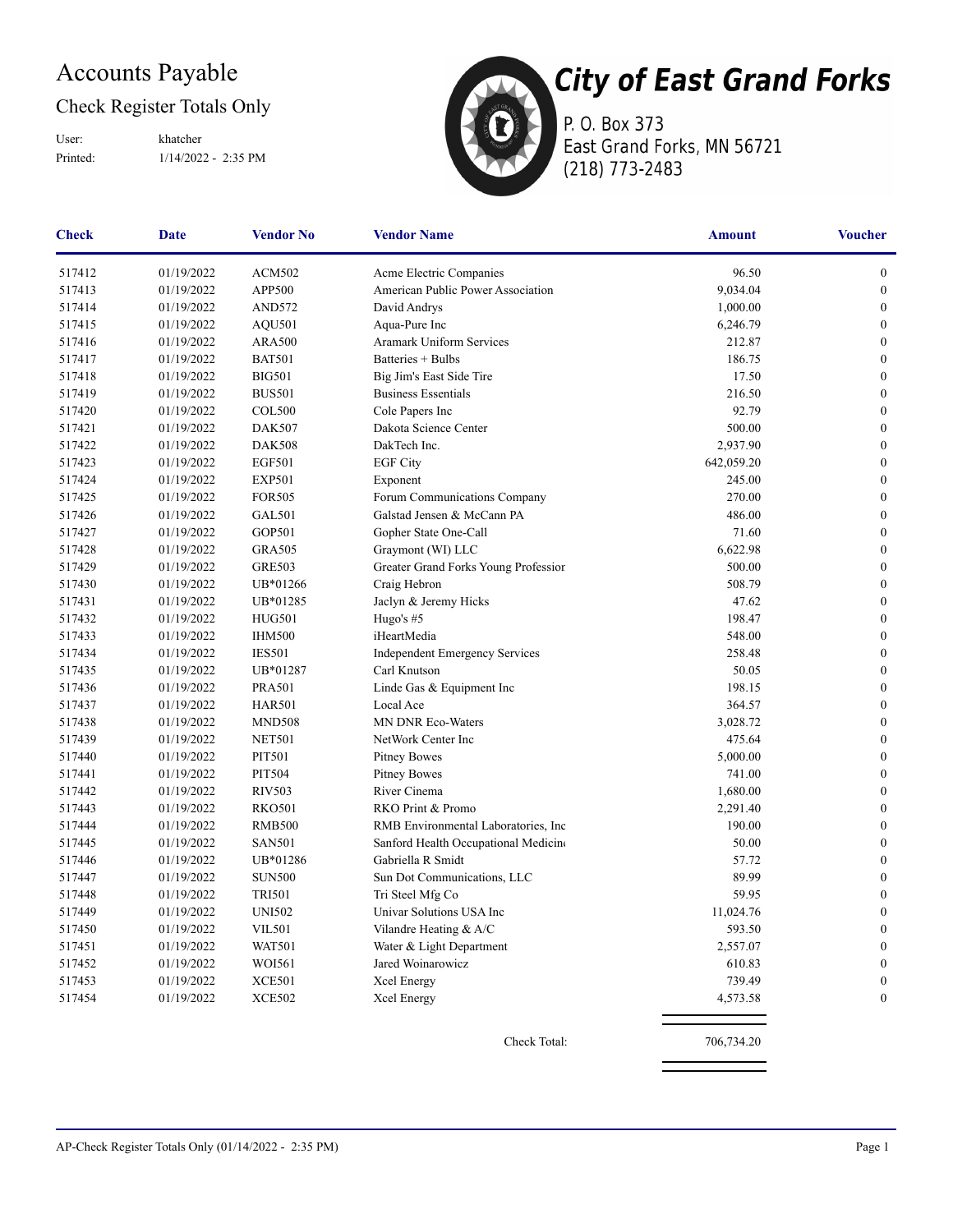## Accounts Payable

#### Check Register Totals Only

Printed: 1/14/2022 - 2:35 PM User: khatcher



P. O. Box 373 East Grand Forks, MN 56721 (218) 773-2483

| <b>Check</b> | Date       | <b>Vendor No</b> | <b>Vendor Name</b>                    | <b>Amount</b> | <b>Voucher</b>   |
|--------------|------------|------------------|---------------------------------------|---------------|------------------|
| 517412       | 01/19/2022 | <b>ACM502</b>    | Acme Electric Companies               | 96.50         | $\boldsymbol{0}$ |
| 517413       | 01/19/2022 | APP500           | American Public Power Association     | 9,034.04      | $\boldsymbol{0}$ |
| 517414       | 01/19/2022 | <b>AND572</b>    | David Andrys                          | 1,000.00      | $\boldsymbol{0}$ |
| 517415       | 01/19/2022 | AQU501           | Aqua-Pure Inc                         | 6,246.79      | $\theta$         |
| 517416       | 01/19/2022 | <b>ARA500</b>    | Aramark Uniform Services              | 212.87        | $\theta$         |
| 517417       | 01/19/2022 | <b>BAT501</b>    | Batteries + Bulbs                     | 186.75        | $\mathbf{0}$     |
| 517418       | 01/19/2022 | <b>BIG501</b>    | Big Jim's East Side Tire              | 17.50         | $\mathbf{0}$     |
| 517419       | 01/19/2022 | <b>BUS501</b>    | <b>Business Essentials</b>            | 216.50        | $\boldsymbol{0}$ |
| 517420       | 01/19/2022 | <b>COL500</b>    | Cole Papers Inc                       | 92.79         | $\boldsymbol{0}$ |
| 517421       | 01/19/2022 | <b>DAK507</b>    | Dakota Science Center                 | 500.00        | $\boldsymbol{0}$ |
| 517422       | 01/19/2022 | <b>DAK508</b>    | DakTech Inc.                          | 2,937.90      | $\boldsymbol{0}$ |
| 517423       | 01/19/2022 | <b>EGF501</b>    | <b>EGF City</b>                       | 642,059.20    | $\theta$         |
| 517424       | 01/19/2022 | <b>EXP501</b>    | Exponent                              | 245.00        | $\mathbf{0}$     |
| 517425       | 01/19/2022 | <b>FOR505</b>    | Forum Communications Company          | 270.00        | $\mathbf{0}$     |
| 517426       | 01/19/2022 | GAL501           | Galstad Jensen & McCann PA            | 486.00        | $\boldsymbol{0}$ |
| 517427       | 01/19/2022 | GOP501           | Gopher State One-Call                 | 71.60         | $\boldsymbol{0}$ |
| 517428       | 01/19/2022 | <b>GRA505</b>    | Graymont (WI) LLC                     | 6,622.98      | $\overline{0}$   |
| 517429       | 01/19/2022 | <b>GRE503</b>    | Greater Grand Forks Young Profession  | 500.00        | $\boldsymbol{0}$ |
| 517430       | 01/19/2022 | UB*01266         | Craig Hebron                          | 508.79        | $\mathbf{0}$     |
| 517431       | 01/19/2022 | UB*01285         | Jaclyn & Jeremy Hicks                 | 47.62         | $\mathbf{0}$     |
| 517432       | 01/19/2022 | <b>HUG501</b>    | Hugo's #5                             | 198.47        | $\boldsymbol{0}$ |
| 517433       | 01/19/2022 | <b>IHM500</b>    | iHeartMedia                           | 548.00        | $\boldsymbol{0}$ |
| 517434       | 01/19/2022 | <b>IES501</b>    | <b>Independent Emergency Services</b> | 258.48        | $\boldsymbol{0}$ |
| 517435       | 01/19/2022 | UB*01287         | Carl Knutson                          | 50.05         | $\theta$         |
| 517436       | 01/19/2022 | <b>PRA501</b>    | Linde Gas & Equipment Inc             | 198.15        | $\boldsymbol{0}$ |
| 517437       | 01/19/2022 | <b>HAR501</b>    | Local Ace                             | 364.57        | $\mathbf{0}$     |
| 517438       | 01/19/2022 | <b>MND508</b>    | MN DNR Eco-Waters                     | 3,028.72      | $\mathbf{0}$     |
| 517439       | 01/19/2022 | <b>NET501</b>    | NetWork Center Inc                    | 475.64        | $\boldsymbol{0}$ |
| 517440       | 01/19/2022 | <b>PIT501</b>    | <b>Pitney Bowes</b>                   | 5,000.00      | $\boldsymbol{0}$ |
| 517441       | 01/19/2022 | <b>PIT504</b>    | <b>Pitney Bowes</b>                   | 741.00        | $\boldsymbol{0}$ |
| 517442       | 01/19/2022 | <b>RIV503</b>    | River Cinema                          | 1,680.00      | $\boldsymbol{0}$ |
| 517443       | 01/19/2022 | <b>RKO501</b>    | RKO Print & Promo                     | 2,291.40      | $\theta$         |
| 517444       | 01/19/2022 | <b>RMB500</b>    | RMB Environmental Laboratories, Inc.  | 190.00        | $\mathbf{0}$     |
| 517445       | 01/19/2022 | <b>SAN501</b>    | Sanford Health Occupational Medicine  | 50.00         | $\mathbf{0}$     |
| 517446       | 01/19/2022 | UB*01286         | Gabriella R Smidt                     | 57.72         | $\boldsymbol{0}$ |
| 517447       | 01/19/2022 | <b>SUN500</b>    | Sun Dot Communications, LLC           | 89.99         | $\boldsymbol{0}$ |
| 517448       | 01/19/2022 | <b>TRI501</b>    | Tri Steel Mfg Co                      | 59.95         | $\mathbf{0}$     |
| 517449       | 01/19/2022 | <b>UNI502</b>    | Univar Solutions USA Inc              | 11,024.76     | $\theta$         |
| 517450       | 01/19/2022 | <b>VIL501</b>    | Vilandre Heating & A/C                | 593.50        |                  |
| 517451       | 01/19/2022 | <b>WAT501</b>    | Water & Light Department              | 2,557.07      | $\mathbf{0}$     |
| 517452       | 01/19/2022 | WOI561           | Jared Woinarowicz                     | 610.83        | $\boldsymbol{0}$ |
| 517453       | 01/19/2022 | <b>XCE501</b>    | Xcel Energy                           | 739.49        | 0                |
| 517454       | 01/19/2022 | <b>XCE502</b>    | Xcel Energy                           | 4,573.58      | $\boldsymbol{0}$ |
|              |            |                  | Check Total:                          | 706,734.20    |                  |
|              |            |                  |                                       |               |                  |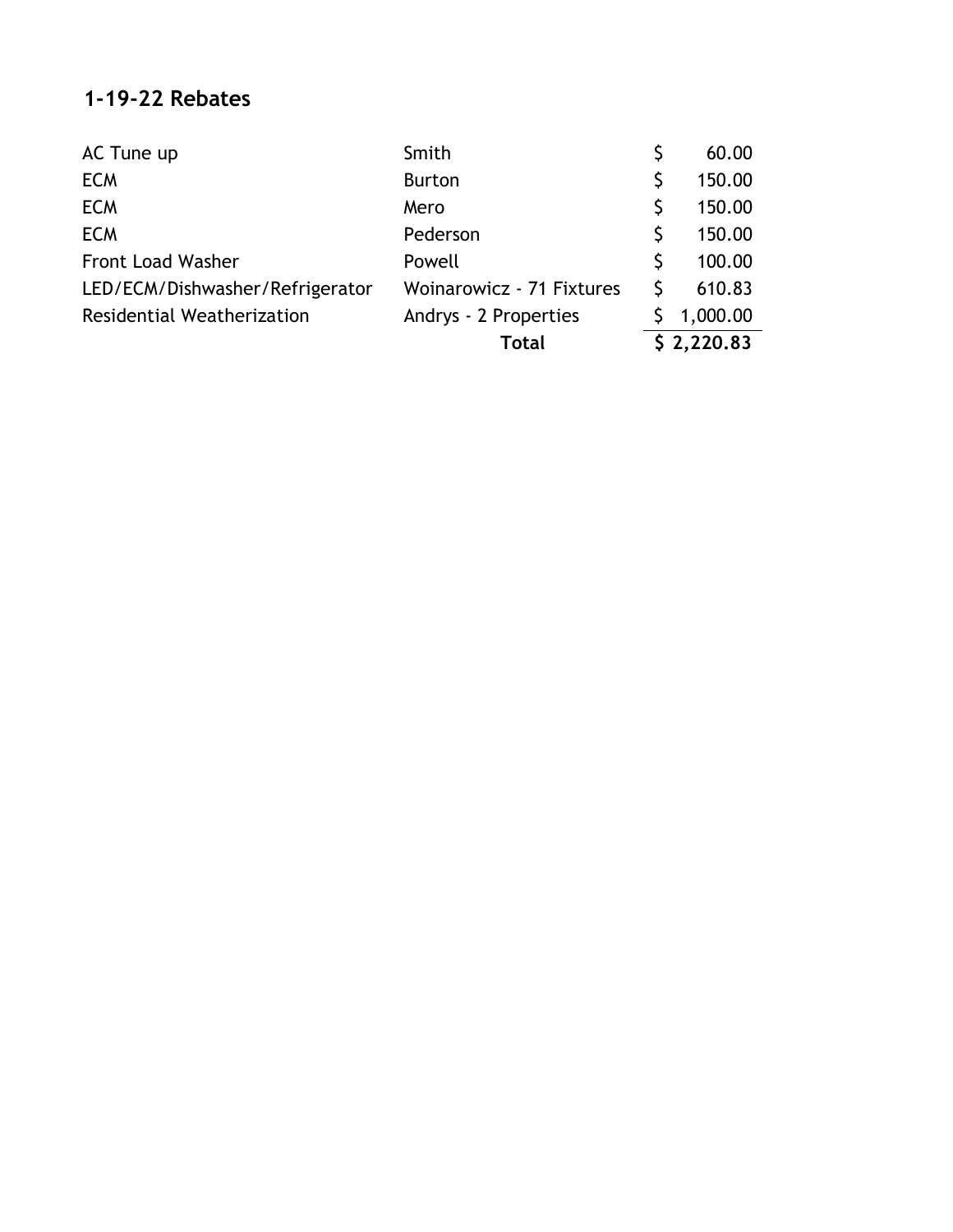#### **1-19-22 Rebates**

| AC Tune up                      | Smith                     |            | 60.00    |
|---------------------------------|---------------------------|------------|----------|
| <b>ECM</b>                      | <b>Burton</b>             |            | 150.00   |
| <b>ECM</b>                      | Mero                      |            | 150.00   |
| <b>ECM</b>                      | Pederson                  |            | 150.00   |
| <b>Front Load Washer</b>        | Powell                    |            | 100.00   |
| LED/ECM/Dishwasher/Refrigerator | Woinarowicz - 71 Fixtures |            | 610.83   |
| Residential Weatherization      | Andrys - 2 Properties     |            | 1,000.00 |
|                                 | <b>Total</b>              | \$2,220.83 |          |